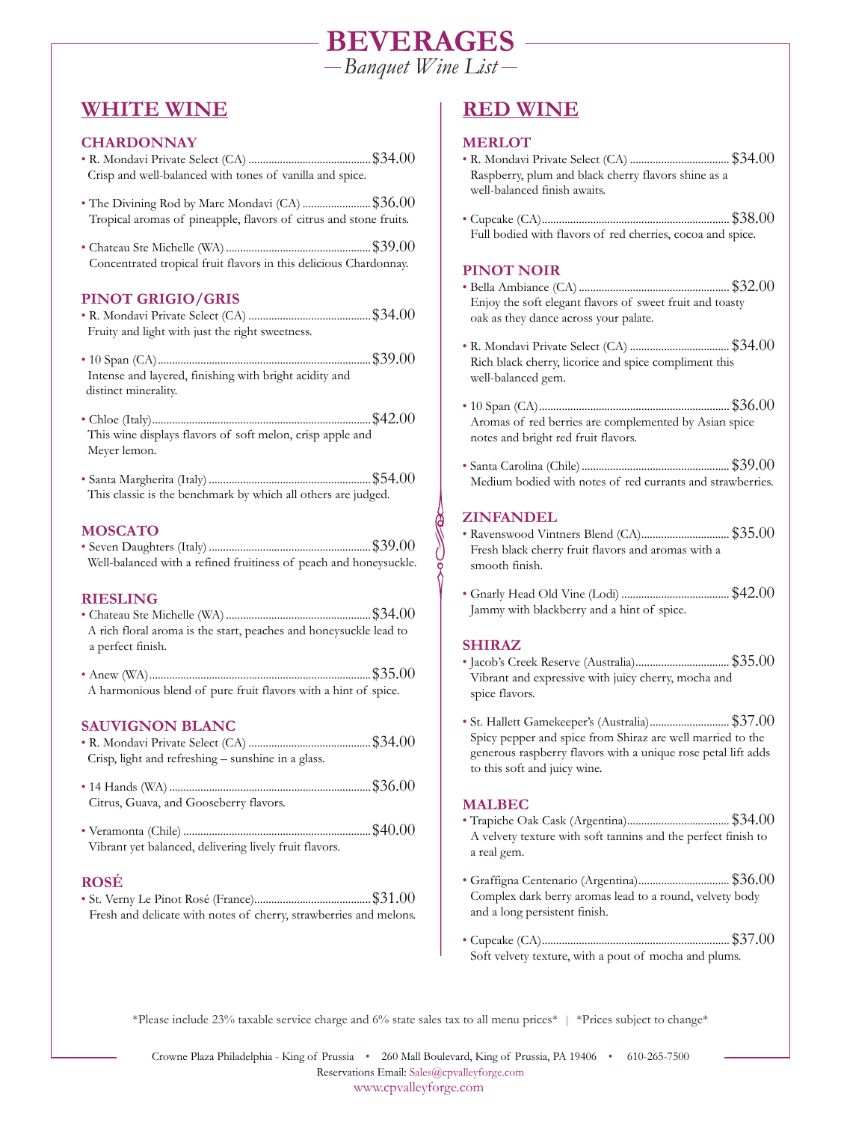# **BEVERAGES**

*Banquet Wine List*

# **WHITE WINE**

# **CHARDONNAY**

- R. Mondavi Private Select (CA) ...........................................\$34.00 Crisp and well-balanced with tones of vanilla and spice.
- The Divining Rod by Marc Mondavi (CA) .........................\$36.00 Tropical aromas of pineapple, flavors of citrus and stone fruits.
- Chateau Ste Michelle (WA) ...................................................\$39.00 Concentrated tropical fruit flavors in this delicious Chardonnay.

# **PINOT GRIGIO/GRIS**

- R. Mondavi Private Select (CA) ...........................................\$34.00 Fruity and light with just the right sweetness.
- 10 Span (CA)...........................................................................\$39.00 Intense and layered, finishing with bright acidity and distinct minerality.
- Chloe (Italy).............................................................................\$42.00 This wine displays flavors of soft melon, crisp apple and Meyer lemon.
- Santa Margherita (Italy) .........................................................\$54.00 This classic is the benchmark by which all others are judged.

# **MOSCATO**

• Seven Daughters (Italy) .........................................................\$39.00 Well-balanced with a refined fruitiness of peach and honeysuckle.

# **RIESLING**

- Chateau Ste Michelle (WA) ...................................................\$34.00 A rich floral aroma is the start, peaches and honeysuckle lead to a perfect finish.
- Anew (WA)..............................................................................\$35.00 A harmonious blend of pure fruit flavors with a hint of spice.

# **SAUVIGNON BLANC**

- R. Mondavi Private Select (CA) ...........................................\$34.00 Crisp, light and refreshing – sunshine in a glass.
- 14 Hands (WA) .......................................................................\$36.00 Citrus, Guava, and Gooseberry flavors.
- Veramonta (Chile) ..................................................................\$40.00 Vibrant yet balanced, delivering lively fruit flavors.

# **ROSÉ**

• St. Verny Le Pinot Rosé (France).........................................\$31.00 Fresh and delicate with notes of cherry, strawberries and melons.

# **RED WINE**

# **MERLOT**

- R. Mondavi Private Select (CA) ................................... \$34.00 Raspberry, plum and black cherry flavors shine as a well-balanced finish awaits.
- Cupcake (CA).................................................................. \$38.00 Full bodied with flavors of red cherries, cocoa and spice.

# **PINOT NOIR**

- Bella Ambiance (CA) ..................................................... \$32.00 Enjoy the soft elegant flavors of sweet fruit and toasty oak as they dance across your palate.
- R. Mondavi Private Select (CA) ................................... \$34.00 Rich black cherry, licorice and spice compliment this well-balanced gem.
- 10 Span (CA)................................................................... \$36.00 Aromas of red berries are complemented by Asian spice notes and bright red fruit flavors.
- Santa Carolina (Chile) .................................................... \$39.00 Medium bodied with notes of red currants and strawberries.

# **ZINFANDEL**

- Ravenswood Vintners Blend (CA)............................... \$35.00 Fresh black cherry fruit flavors and aromas with a smooth finish.
- Gnarly Head Old Vine (Lodi) ...................................... \$42.00 Jammy with blackberry and a hint of spice.

# **SHIRAZ**

- Jacob's Creek Reserve (Australia)................................. \$35.00 Vibrant and expressive with juicy cherry, mocha and spice flavors.
- St. Hallett Gamekeeper's (Australia)............................ \$37.00 Spicy pepper and spice from Shiraz are well married to the generous raspberry flavors with a unique rose petal lift adds to this soft and juicy wine.

# **MALBEC**

- Trapiche Oak Cask (Argentina).................................... \$34.00 A velvety texture with soft tannins and the perfect finish to a real gem.
- Graffigna Centenario (Argentina)................................ \$36.00 Complex dark berry aromas lead to a round, velvety body and a long persistent finish.
- Cupcake (CA).................................................................. \$37.00 Soft velvety texture, with a pout of mocha and plums.

\*Please include 23% taxable service charge and 6% state sales tax to all menu prices\* | \*Prices subject to change\*

Crowne Plaza Philadelphia - King of Prussia • 260 Mall Boulevard, King of Prussia, PA 19406 • 610-265-7500 Reservations Email: Sales@cpvalleyforge.com www.cpvalleyforge.com